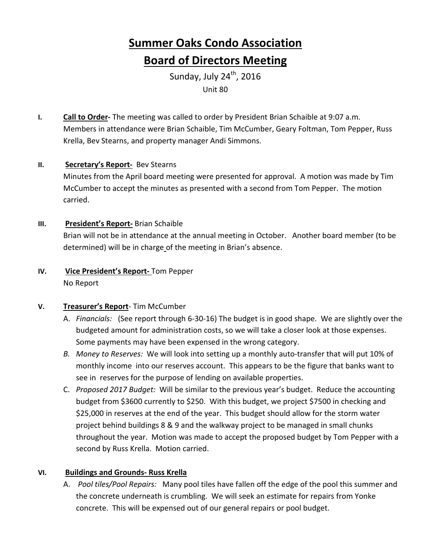# **Summer Oaks Condo Association Board of Directors Meeting**

Sunday, July  $24^{th}$ , 2016 Unit 80

**I. Call to Order-** The meeting was called to order by President Brian Schaible at 9:07 a.m. Members in attendance were Brian Schaible, Tim McCumber, Geary Foltman, Tom Pepper, Russ Krella, Bev Stearns, and property manager Andi Simmons.

## **II. Secretary's Report-** Bev Stearns

Minutes from the April board meeting were presented for approval. A motion was made by Tim McCumber to accept the minutes as presented with a second from Tom Pepper. The motion carried.

- **III. President's Report-** Brian Schaible Brian will not be in attendance at the annual meeting in October. Another board member (to be determined) will be in charge of the meeting in Brian's absence.
- **IV. Vice President's Report-** Tom Pepper No Report

### **V. Treasurer's Report**- Tim McCumber

- A. *Financials:* (See report through 6-30-16) The budget is in good shape. We are slightly over the budgeted amount for administration costs, so we will take a closer look at those expenses. Some payments may have been expensed in the wrong category.
- *B. Money to Reserves:* We will look into setting up a monthly auto-transfer that will put 10% of monthly income into our reserves account. This appears to be the figure that banks want to see in reserves for the purpose of lending on available properties.
- C. *Proposed 2017 Budget:* Will be similar to the previous year's budget. Reduce the accounting budget from \$3600 currently to \$250. With this budget, we project \$7500 in checking and \$25,000 in reserves at the end of the year. This budget should allow for the storm water project behind buildings 8 & 9 and the walkway project to be managed in small chunks throughout the year. Motion was made to accept the proposed budget by Tom Pepper with a second by Russ Krella. Motion carried.

# **VI. Buildings and Grounds- Russ Krella**

A. *Pool tiles/Pool Repairs:* Many pool tiles have fallen off the edge of the pool this summer and the concrete underneath is crumbling. We will seek an estimate for repairs from Yonke concrete. This will be expensed out of our general repairs or pool budget.